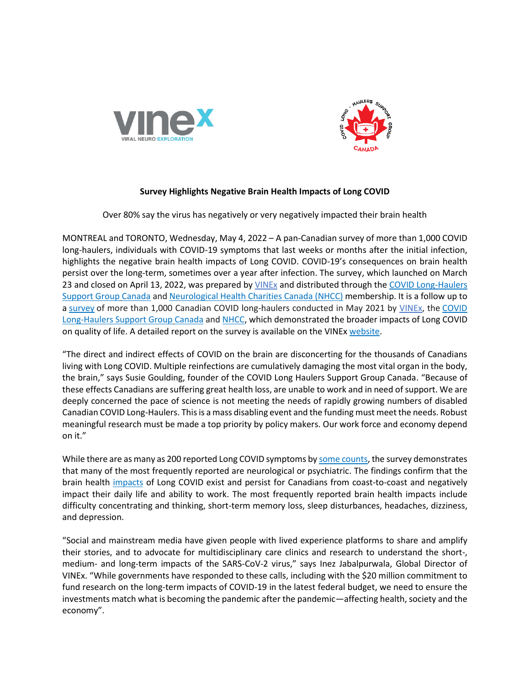



## **Survey Highlights Negative Brain Health Impacts of Long COVID**

Over 80% say the virus has negatively or very negatively impacted their brain health

MONTREAL and TORONTO, Wednesday, May 4, 2022 – A pan-Canadian survey of more than 1,000 COVID long-haulers, individuals with COVID-19 symptoms that last weeks or months after the initial infection, highlights the negative brain health impacts of Long COVID. COVID-19's consequences on brain health persist over the long-term, sometimes over a year after infection. The survey, which launched on March 23 and closed on April 13, 2022, was prepared by *VINEx* and distributed through the COVID Long-Haulers [Support Group](https://www.covidlonghaulcanada.com/) Canada and [Neurological Health Charities Canada](https://mybrainmatters.ca/) (NHCC) membership. It is a follow up to a [survey](https://imgix.cosmicjs.com/d8d3d3b0-c936-11eb-ba89-e7f98c8c358b-FINAL---Report-on-Long-Covid-Impact-Survey---June-8-2021.pdf) of more than 1,000 Canadian COVID long-haulers conducted in May 2021 by [VINEx,](https://www.vinex.ca/) the [COVID](https://www.covidlonghaulcanada.com/)  [Long-Haulers Support Group](https://www.covidlonghaulcanada.com/) Canada and [NHCC,](https://mybrainmatters.ca/) which demonstrated the broader impacts of Long COVID on quality of life. A detailed report on the survey is available on the VINE[x website.](http://www.vinex.ca/)

"The direct and indirect effects of COVID on the brain are disconcerting for the thousands of Canadians living with Long COVID. Multiple reinfections are cumulatively damaging the most vital organ in the body, the brain," says Susie Goulding, founder of the COVID Long Haulers Support Group Canada. "Because of these effects Canadians are suffering great health loss, are unable to work and in need of support. We are deeply concerned the pace of science is not meeting the needs of rapidly growing numbers of disabled Canadian COVID Long-Haulers. This is a mass disabling event and the funding must meet the needs. Robust meaningful research must be made a top priority by policy makers. Our work force and economy depend on it."

While there are as many as 200 reported Long COVID symptoms b[y some counts,](https://imgix.cosmicjs.com/d8d3d3b0-c936-11eb-ba89-e7f98c8c358b-FINAL---Report-on-Long-Covid-Impact-Survey---June-8-2021.pdf) the survey demonstrates that many of the most frequently reported are neurological or psychiatric. The findings confirm that the brain health [impacts](https://www.thelancet.com/action/showPdf?pii=S2215-0366%2821%2900084-5) of Long COVID exist and persist for Canadians from coast-to-coast and negatively impact their daily life and ability to work. The most frequently reported brain health impacts include difficulty concentrating and thinking, short-term memory loss, sleep disturbances, headaches, dizziness, and depression.

"Social and mainstream media have given people with lived experience platforms to share and amplify their stories, and to advocate for multidisciplinary care clinics and research to understand the short-, medium- and long-term impacts of the SARS-CoV-2 virus," says Inez Jabalpurwala, Global Director of VINEx. "While governments have responded to these calls, including with the \$20 million commitment to fund research on the long-term impacts of COVID-19 in the latest federal budget, we need to ensure the investments match what is becoming the pandemic after the pandemic—affecting health, society and the economy".